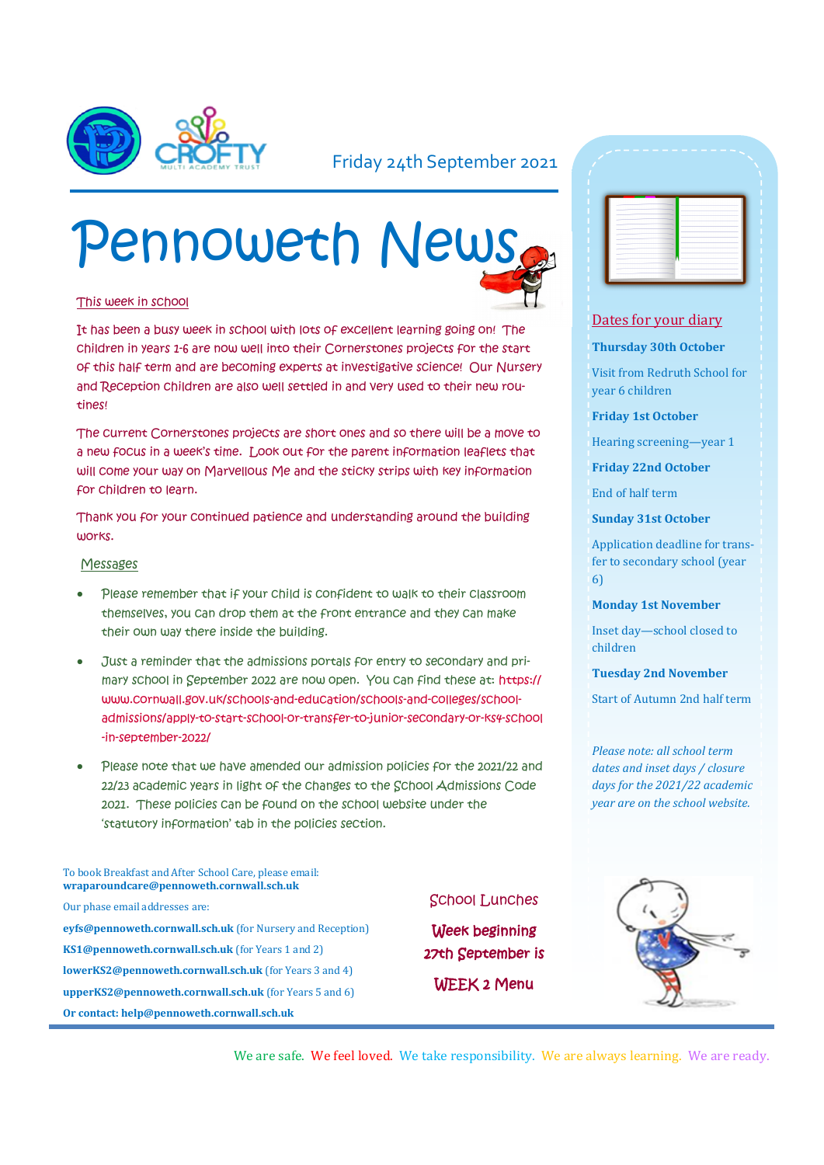

### Friday 24th September 2021

# Pennoweth News

#### This week in school

It has been a busy week in school with lots of excellent learning going on! The children in years 1-6 are now well into their Cornerstones projects for the start of this half term and are becoming experts at investigative science! Our Nursery and Reception children are also well settled in and very used to their new routines!

The current Cornerstones projects are short ones and so there will be a move to a new focus in a week's time. Look out for the parent information leaflets that will come your way on Marvellous Me and the sticky strips with key information for children to learn.

Thank you for your continued patience and understanding around the building works.

#### Messages

- Please remember that if your child is confident to walk to their classroom themselves, you can drop them at the front entrance and they can make their own way there inside the building.
- Just a reminder that the admissions portals for entry to secondary and primary school in September 2022 are now open. You can find these at: https:// www.cornwall.gov.uk/schools-and-education/schools-and-colleges/schooladmissions/apply-to-start-school-or-transfer-to-junior-secondary-or-ks4-school -in-september-2022/
- Please note that we have amended our admission policies for the 2021/22 and 22/23 academic years in light of the changes to the School Admissions Code 2021. These policies can be found on the school website under the 'statutory information' tab in the policies section.

To book Breakfast and After School Care, please email: **wraparoundcare@pennoweth.cornwall.sch.uk**

Our phase email addresses are: **eyfs@pennoweth.cornwall.sch.uk** (for Nursery and Reception) **KS1@pennoweth.cornwall.sch.uk** (for Years 1 and 2) **lowerKS2@pennoweth.cornwall.sch.uk** (for Years 3 and 4) **upperKS2@pennoweth.cornwall.sch.uk** (for Years 5 and 6) **Or contact: help@pennoweth.cornwall.sch.uk**

#### School Lunches

Week beginning 27th September is WEEK 2 Menu

|              | - 1      | -      |   |
|--------------|----------|--------|---|
|              | ÷<br>- 1 | $\sim$ |   |
| ٠            | -        |        |   |
| ٠            | -        |        |   |
| ۰            | --       |        |   |
| $\sim$<br>۰  | -<br>-   | ۰      | ۰ |
| -            | -        | $\sim$ |   |
| ٠            | -        |        |   |
| ۰            | ÷        | $\sim$ | ۰ |
| <b>STATE</b> | -<br>-   | -      |   |
|              | man i    |        | ۰ |
|              | -        |        | ٠ |
|              |          |        |   |

#### Dates for your diary

#### **Thursday 30th October**

Visit from Redruth School for year 6 children

**Friday 1st October**

Hearing screening—year 1

**Friday 22nd October**

End of half term

**Sunday 31st October**

Application deadline for transfer to secondary school (year 6)

#### **Monday 1st November**

Inset day—school closed to children

**Tuesday 2nd November**

Start of Autumn 2nd half term

*Please note: all school term dates and inset days / closure days for the 2021/22 academic year are on the school website.* 



We are safe. We feel loved. We take responsibility. We are always learning. We are ready.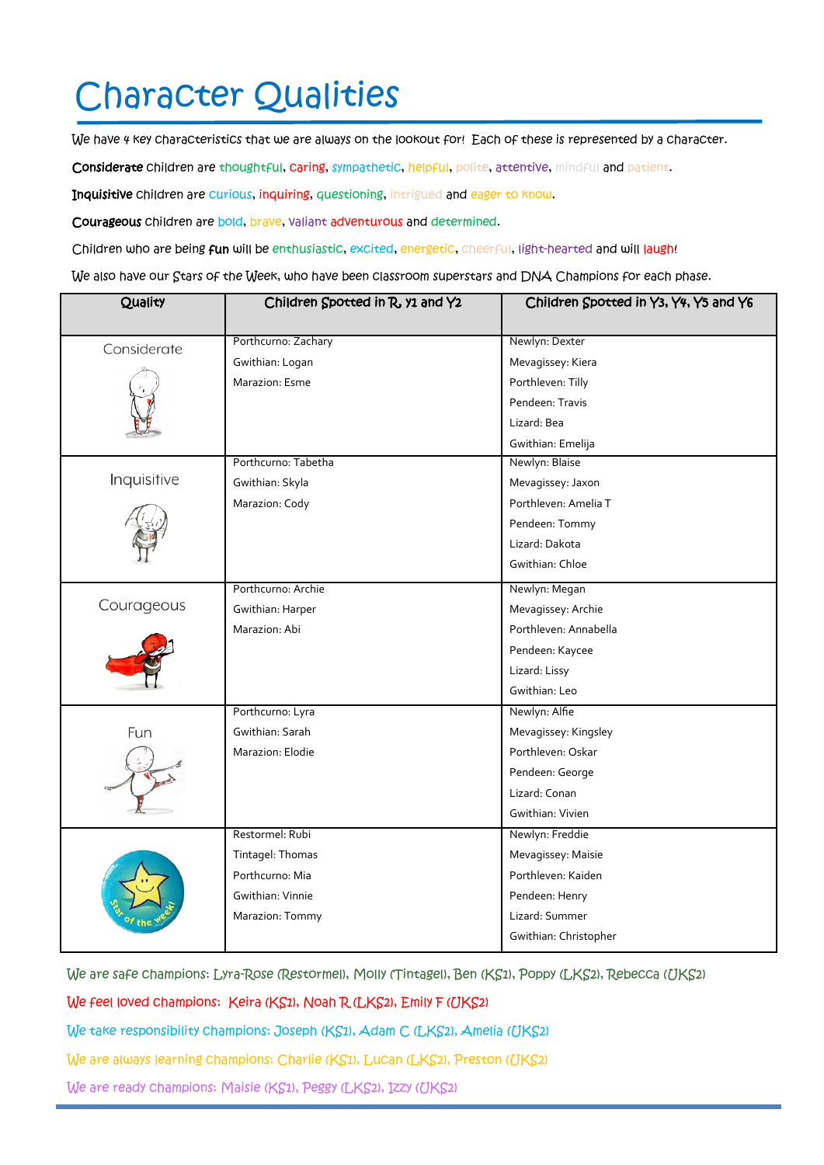# Character Qualities

We have 4 key characteristics that we are always on the lookout for! Each of these is represented by a character.

Considerate children are thoughtful, caring, sympathetic, helpful, polite, attentive, mindful and patient.

Inquisitive children are curious, inquiring, questioning, intrigued and eager to know.

Courageous children are bold, brave, valiant adventurous and determined.

Children who are being fun will be enthusiastic, excited, energetic, cheerful, light-hearted and will laugh!

We also have our Stars of the Week, who have been classroom superstars and DNA Champions for each phase.

| Quality     | Children Spotted in R, y1 and Y2 | Children Spotted in Y3, Y4, Y5 and Y6 |
|-------------|----------------------------------|---------------------------------------|
| Considerate | Porthcurno: Zachary              | Newlyn: Dexter                        |
|             | Gwithian: Logan                  | Mevagissey: Kiera                     |
|             | Marazion: Esme                   | Porthleven: Tilly                     |
|             |                                  | Pendeen: Travis                       |
|             |                                  | Lizard: Bea                           |
|             |                                  | Gwithian: Emelija                     |
|             | Porthcurno: Tabetha              | Newlyn: Blaise                        |
| Inquisitive | Gwithian: Skyla                  | Mevagissey: Jaxon                     |
|             | Marazion: Cody                   | Porthleven: Amelia T                  |
|             |                                  | Pendeen: Tommy                        |
|             |                                  | Lizard: Dakota                        |
|             |                                  | Gwithian: Chloe                       |
|             | Porthcurno: Archie               | Newlyn: Megan                         |
| Courageous  | Gwithian: Harper                 | Mevagissey: Archie                    |
|             | Marazion: Abi                    | Porthleven: Annabella                 |
|             |                                  | Pendeen: Kaycee                       |
|             |                                  | Lizard: Lissy                         |
|             |                                  | Gwithian: Leo                         |
|             | Porthcurno: Lyra                 | Newlyn: Alfie                         |
| Fun         | Gwithian: Sarah                  | Mevagissey: Kingsley                  |
|             | Marazion: Elodie                 | Porthleven: Oskar                     |
|             |                                  | Pendeen: George                       |
|             |                                  | Lizard: Conan                         |
|             |                                  | Gwithian: Vivien                      |
|             | Restormel: Rubi                  | Newlyn: Freddie                       |
|             | Tintagel: Thomas                 | Mevagissey: Maisie                    |
|             | Porthcurno: Mia                  | Porthleven: Kaiden                    |
|             | Gwithian: Vinnie                 | Pendeen: Henry                        |
|             | Marazion: Tommy                  | Lizard: Summer                        |
|             |                                  | Gwithian: Christopher                 |

We are safe champions: Lyra-Rose (Restormel), Molly (Tintagel), Ben (KS1), Poppy (LKS2), Rebecca (UKS2)

We feel loved champions: Keira (KS1), Noah R (LKS2), Emily F (UKS2)

We take responsibility champions: Joseph (KS1), Adam C (LKS2), Amelia (UKS2)

We are always learning champions: Charlie (KS1), Lucan (LKS2), Preston (UKS2)

We are ready champions: Maisie (KS1), Peggy (LKS2), Izzy (UKS2)